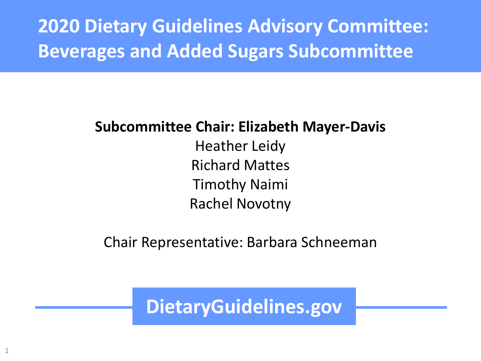**2020 Dietary Guidelines Advisory Committee: Beverages and Added Sugars Subcommittee**

#### **Subcommittee Chair: Elizabeth Mayer-Davis**

Heather Leidy Richard Mattes Timothy Naimi Rachel Novotny

Chair Representative: Barbara Schneeman

**DietaryGuidelines.gov**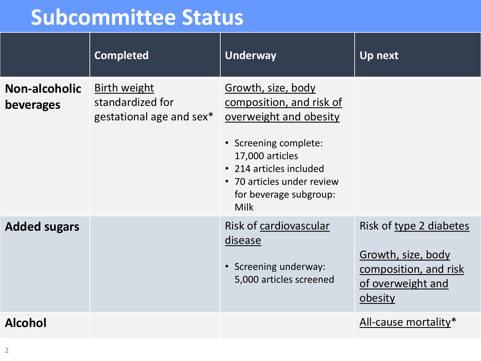## **Subcommittee Status**

|                                          | <b>Completed</b>                                                    | <b>Underway</b>                                                                                                                                                                                                        | <b>Up next</b>                                                                                         |
|------------------------------------------|---------------------------------------------------------------------|------------------------------------------------------------------------------------------------------------------------------------------------------------------------------------------------------------------------|--------------------------------------------------------------------------------------------------------|
| <b>Non-alcoholic</b><br><b>beverages</b> | <b>Birth weight</b><br>standardized for<br>gestational age and sex* | Growth, size, body<br>composition, and risk of<br>overweight and obesity<br>• Screening complete:<br>17,000 articles<br>• 214 articles included<br>• 70 articles under review<br>for beverage subgroup:<br><b>Milk</b> |                                                                                                        |
| <b>Added sugars</b>                      |                                                                     | Risk of cardiovascular<br>disease<br>• Screening underway:<br>5,000 articles screened                                                                                                                                  | Risk of type 2 diabetes<br>Growth, size, body<br>composition, and risk<br>of overweight and<br>obesity |
| <b>Alcohol</b>                           |                                                                     |                                                                                                                                                                                                                        | All-cause mortality*                                                                                   |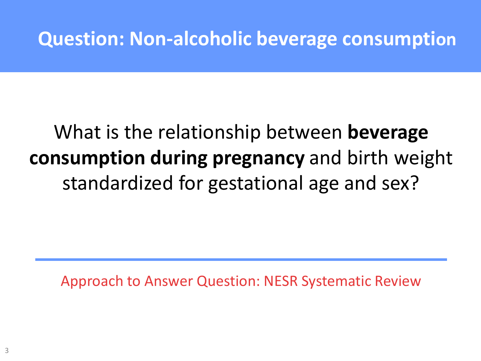### **Question: Non-alcoholic beverage consumption**

## What is the relationship between **beverage consumption during pregnancy** and birth weight standardized for gestational age and sex?

Approach to Answer Question: NESR Systematic Review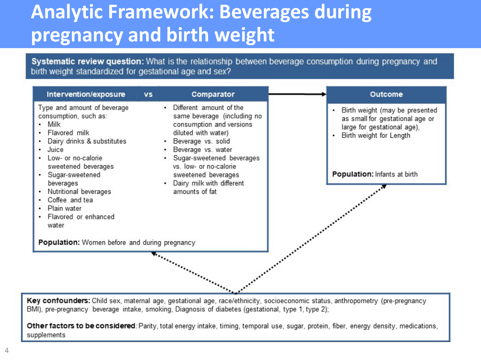## **Analytic Framework: Beverages during pregnancy and birth weight**

Systematic review question: What is the relationship between beverage consumption during pregnancy and birth weight standardized for gestational age and sex?



Key confounders: Child sex, maternal age, gestational age, race/ethnicity, socioeconomic status, anthropometry (pre-pregnancy BMI), pre-pregnancy beverage intake, smoking, Diagnosis of diabetes (gestational, type 1, type 2);

Other factors to be considered: Parity, total energy intake, timing, temporal use, sugar, protein, fiber, energy density, medications, supplements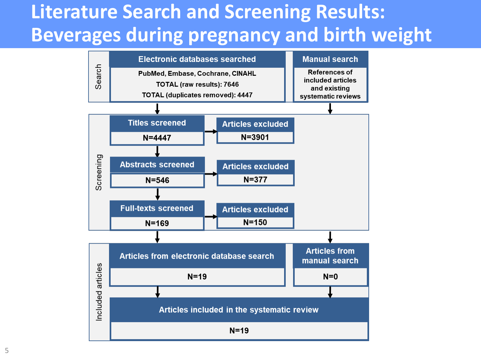## **Literature Search and Screening Results: Beverages during pregnancy and birth weight**

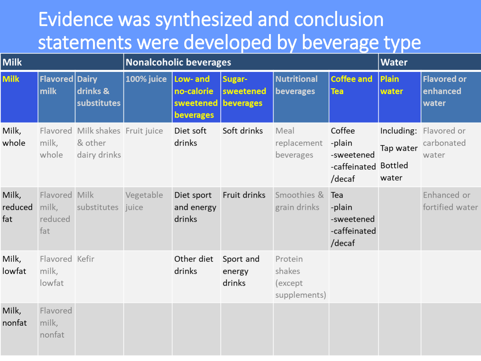### Evidence was synthesized and conclusion statements were developed by beverage type

| <b>Milk</b>             |                                          | <b>Nonalcoholic beverages</b>                               |            |                                                            |                               |                                               | <b>Water</b>                                                     |                    |                                               |
|-------------------------|------------------------------------------|-------------------------------------------------------------|------------|------------------------------------------------------------|-------------------------------|-----------------------------------------------|------------------------------------------------------------------|--------------------|-----------------------------------------------|
| <b>Milk</b>             | <b>Flavored Dairy</b><br>milk            | drinks &<br>substitutes                                     | 100% juice | Low- and<br>no-calorie<br>sweetened beverages<br>beverages | Sugar-<br>sweetened           | <b>Nutritional</b><br>beverages               | <b>Coffee and</b><br><b>Tea</b>                                  | Plain<br>water     | <b>Flavored or</b><br>enhanced<br>water       |
| Milk,<br>whole          | milk,<br>whole                           | Flavored Milk shakes Fruit juice<br>& other<br>dairy drinks |            | Diet soft<br>drinks                                        | Soft drinks                   | Meal<br>replacement<br>beverages              | Coffee<br>-plain<br>-sweetened<br>-caffeinated Bottled<br>/decaf | Tap water<br>water | Including: Flavored or<br>carbonated<br>water |
| Milk,<br>reduced<br>fat | Flavored Milk<br>milk,<br>reduced<br>fat | substitutes juice                                           | Vegetable  | Diet sport<br>and energy<br>drinks                         | Fruit drinks                  | Smoothies &<br>grain drinks                   | Tea<br>-plain<br>-sweetened<br>-caffeinated<br>/decaf            |                    | Enhanced or<br>fortified water                |
| Milk,<br>lowfat         | Flavored Kefir<br>milk,<br>lowfat        |                                                             |            | Other diet<br>drinks                                       | Sport and<br>energy<br>drinks | Protein<br>shakes<br>(except)<br>supplements) |                                                                  |                    |                                               |
| Milk,<br>nonfat         | Flavored<br>milk,<br>nonfat              |                                                             |            |                                                            |                               |                                               |                                                                  |                    |                                               |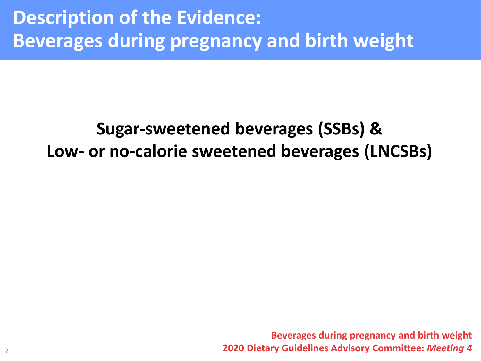### **Description of the Evidence: Beverages during pregnancy and birth weight**

### **Sugar-sweetened beverages (SSBs) & Low- or no-calorie sweetened beverages (LNCSBs)**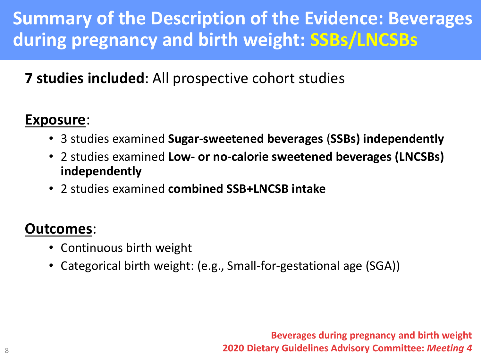### **Summary of the Description of the Evidence: Beverages during pregnancy and birth weight: SSBs/LNCSBs**

#### **7 studies included**: All prospective cohort studies

#### **Exposure**:

- 3 studies examined **Sugar-sweetened beverages** (**SSBs) independently**
- 2 studies examined **Low- or no-calorie sweetened beverages (LNCSBs) independently**
- 2 studies examined **combined SSB+LNCSB intake**

#### **Outcomes**:

- Continuous birth weight
- Categorical birth weight: (e.g., Small-for-gestational age (SGA))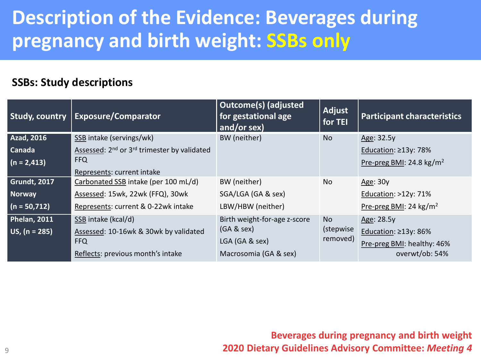### **Description of the Evidence: Beverages during pregnancy and birth weight: SSBs only**

#### **SSBs: Study descriptions**

| <b>Study, country</b> | <b>Exposure/Comparator</b>                                          | <b>Outcome(s) (adjusted</b><br>for gestational age<br>and/or sex) | Adjust<br>for TEI     | <b>Participant characteristics</b>   |
|-----------------------|---------------------------------------------------------------------|-------------------------------------------------------------------|-----------------------|--------------------------------------|
| <b>Azad, 2016</b>     | SSB intake (servings/wk)                                            | BW (neither)                                                      | <b>No</b>             | Age: 32.5y                           |
| <b>Canada</b>         | Assessed: 2 <sup>nd</sup> or 3 <sup>rd</sup> trimester by validated |                                                                   |                       | Education: $\geq$ 13y: 78%           |
| $(n = 2, 413)$        | <b>FFQ</b>                                                          |                                                                   |                       | Pre-preg BMI: 24.8 kg/m <sup>2</sup> |
|                       | Represents: current intake                                          |                                                                   |                       |                                      |
| Grundt, 2017          | Carbonated SSB intake (per 100 mL/d)                                | BW (neither)                                                      | No                    | Age: 30y                             |
| Norway                | Assessed: 15wk, 22wk (FFQ), 30wk                                    | SGA/LGA (GA & sex)                                                |                       | Education: $>12y$ : 71%              |
| $(n = 50, 712)$       | Represents: current & 0-22wk intake                                 | LBW/HBW (neither)                                                 |                       | Pre-preg BMI: 24 kg/m <sup>2</sup>   |
| <b>Phelan, 2011</b>   | SSB intake (kcal/d)                                                 | Birth weight-for-age z-score                                      | <b>No</b>             | Age: 28.5y                           |
| $US, (n = 285)$       | Assessed: 10-16wk & 30wk by validated                               | (GA & sex)                                                        | (stepwise<br>removed) | Education: $\geq$ 13y: 86%           |
|                       | <b>FFQ</b>                                                          | LGA (GA & sex)                                                    |                       | Pre-preg BMI: healthy: 46%           |
|                       | Reflects: previous month's intake                                   | Macrosomia (GA & sex)                                             |                       | overwt/ob: 54%                       |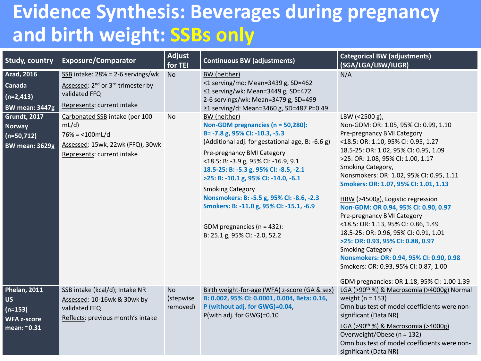### **Evidence Synthesis: Beverages during pregnancy and birth weight: SSBs only**

| <b>Study, country</b>                                                                                                       | <b>Exposure/Comparator</b>                                                                                                                                                                                      | <b>Adjust</b><br>for TEI           | <b>Continuous BW (adjustments)</b>                                                                                                                                                                                                                                                                                                                                                              | <b>Categorical BW (adjustments)</b><br>(SGA/LGA/LBW/IUGR)                                                                                                                                                                                                                                                                                                                                                                                                                                                                                                                                                                  |
|-----------------------------------------------------------------------------------------------------------------------------|-----------------------------------------------------------------------------------------------------------------------------------------------------------------------------------------------------------------|------------------------------------|-------------------------------------------------------------------------------------------------------------------------------------------------------------------------------------------------------------------------------------------------------------------------------------------------------------------------------------------------------------------------------------------------|----------------------------------------------------------------------------------------------------------------------------------------------------------------------------------------------------------------------------------------------------------------------------------------------------------------------------------------------------------------------------------------------------------------------------------------------------------------------------------------------------------------------------------------------------------------------------------------------------------------------------|
| <b>Azad, 2016</b><br>Canada<br>$(n=2,413)$<br><b>BW mean: 3447g</b><br><b>Grundt, 2017</b><br><b>Norway</b><br>$(n=50,712)$ | $SSB$ intake: 28% = 2-6 servings/wk<br>Assessed: 2 <sup>nd</sup> or 3 <sup>rd</sup> trimester by<br>validated FFQ<br>Represents: current intake<br>Carbonated SSB intake (per 100<br>mL/d)<br>$76\% = 100$ mL/d | <b>No</b><br>No                    | BW (neither)<br><1 serving/mo: Mean=3439 g, SD=462<br>≤1 serving/wk: Mean=3449 g, SD=472<br>2-6 servings/wk: Mean=3479 g, SD=499<br>≥1 serving/d: Mean=3460 g, SD=487 P=0.49<br>BW (neither)<br>Non-GDM pregnancies (n = 50,280):<br>B= -7.8 g, 95% CI: -10.3, -5.3                                                                                                                             | N/A<br>LBW (<2500 g),<br>Non-GDM: OR: 1.05, 95% CI: 0.99, 1.10<br>Pre-pregnancy BMI Category                                                                                                                                                                                                                                                                                                                                                                                                                                                                                                                               |
| <b>BW mean: 3629g</b>                                                                                                       | Assessed: 15wk, 22wk (FFQ), 30wk<br>Represents: current intake                                                                                                                                                  |                                    | (Additional adj. for gestational age, B: -6.6 g)<br>Pre-pregnancy BMI Category<br><18.5: B: -3.9 g, 95% CI: -16.9, 9.1<br>18.5-25: B: -5.3 g, 95% CI: -8.5, -2.1<br>>25: B: -10.1 g, 95% CI: -14.0, -6.1<br><b>Smoking Category</b><br>Nonsmokers: B: -5.5 g, 95% CI: -8.6, -2.3<br>Smokers: B: -11.0 g, 95% CI: -15.1, -6.9<br>GDM pregnancies ( $n = 432$ ):<br>B: 25.1 g, 95% CI: -2.0, 52.2 | <18.5: OR: 1.10, 95% CI: 0.95, 1.27<br>18.5-25: OR: 1.02, 95% CI: 0.95, 1.09<br>>25: OR: 1.08, 95% CI: 1.00, 1.17<br>Smoking Category,<br>Nonsmokers: OR: 1.02, 95% CI: 0.95, 1.11<br>Smokers: OR: 1.07, 95% CI: 1.01, 1.13<br>HBW (>4500g), Logistic regression<br>Non-GDM: OR 0.94, 95% CI: 0.90, 0.97<br>Pre-pregnancy BMI Category<br><18.5: OR: 1.13, 95% CI: 0.86, 1.49<br>18.5-25: OR: 0.96, 95% CI: 0.91, 1.01<br>>25: OR: 0.93, 95% CI: 0.88, 0.97<br><b>Smoking Category</b><br>Nonsmokers: OR: 0.94, 95% CI: 0.90, 0.98<br>Smokers: OR: 0.93, 95% CI: 0.87, 1.00<br>GDM pregnancies: OR 1.18, 95% CI: 1.00 1.39 |
| <b>Phelan, 2011</b><br><b>US</b><br>$(n=153)$<br><b>WFA z-score</b><br>mean: ~0.31                                          | SSB intake (kcal/d); Intake NR<br>Assessed: 10-16wk & 30wk by<br>validated FFQ<br>Reflects: previous month's intake                                                                                             | <b>No</b><br>(stepwise<br>removed) | Birth weight-for-age (WFA) z-score (GA & sex)<br>B: 0.002, 95% CI: 0.0001, 0.004, Beta: 0.16,<br>P (without adj. for GWG)=0.04,<br>P(with adj. for GWG)=0.10                                                                                                                                                                                                                                    | LGA (>90 <sup>th</sup> %) & Macrosomia (>4000g) Normal<br>weight ( $n = 153$ )<br>Omnibus test of model coefficients were non-<br>significant (Data NR)<br>LGA (>90 <sup>th</sup> %) & Macrosomia (>4000g)<br>Overweight/Obese (n = 132)<br>Omnibus test of model coefficients were non-<br>significant (Data NR)                                                                                                                                                                                                                                                                                                          |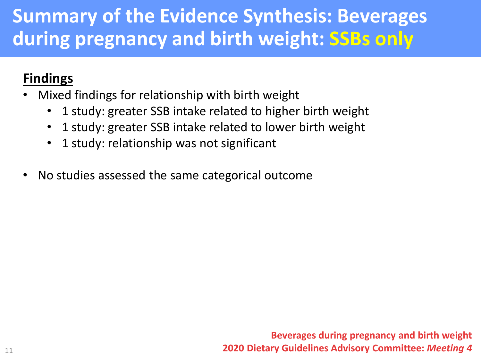### **Summary of the Evidence Synthesis: Beverages during pregnancy and birth weight: SSBs only**

#### **Findings**

- Mixed findings for relationship with birth weight
	- 1 study: greater SSB intake related to higher birth weight
	- 1 study: greater SSB intake related to lower birth weight
	- 1 study: relationship was not significant
- No studies assessed the same categorical outcome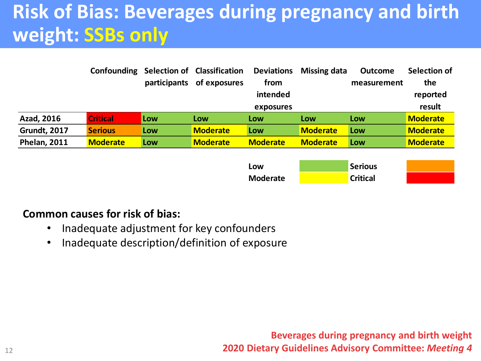## **Risk of Bias: Beverages during pregnancy and birth weight: SSBs only**

|                     | Confounding     |              | <b>Selection of Classification</b> | <b>Deviations</b> | <b>Missing data</b> | <b>Outcome</b> | Selection of    |
|---------------------|-----------------|--------------|------------------------------------|-------------------|---------------------|----------------|-----------------|
|                     |                 | participants | of exposures                       | from              |                     | measurement    | the             |
|                     |                 |              |                                    | intended          |                     |                | reported        |
|                     |                 |              |                                    | exposures         |                     |                | result          |
| Azad, 2016          | <b>Critical</b> | Low          | Low                                | Low               | Low                 | Low            | <b>Moderate</b> |
| <b>Grundt, 2017</b> | <b>Serious</b>  | Low          | <b>Moderate</b>                    | Low               | <b>Moderate</b>     | Low            | <b>Moderate</b> |
| <b>Phelan, 2011</b> | <b>Moderate</b> | Low          | <b>Moderate</b>                    | <b>Moderate</b>   | <b>Moderate</b>     | Low            | <b>Moderate</b> |



#### **Common causes for risk of bias:**

- Inadequate adjustment for key confounders
- Inadequate description/definition of exposure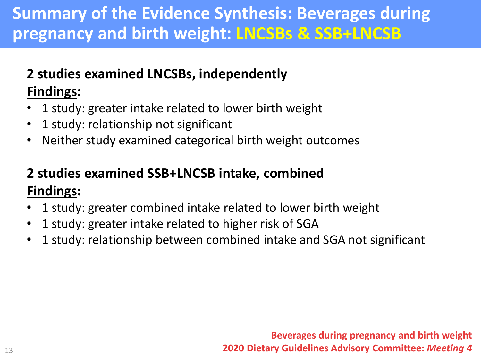### **Summary of the Evidence Synthesis: Beverages during pregnancy and birth weight: LNCSBs & SSB+LNCSB**

#### **2 studies examined LNCSBs, independently Findings:**

- 1 study: greater intake related to lower birth weight
- 1 study: relationship not significant
- Neither study examined categorical birth weight outcomes

#### **2 studies examined SSB+LNCSB intake, combined Findings:**

- 1 study: greater combined intake related to lower birth weight
- 1 study: greater intake related to higher risk of SGA
- 1 study: relationship between combined intake and SGA not significant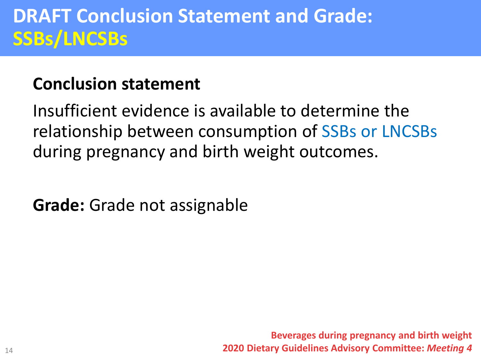### **DRAFT Conclusion Statement and Grade: SSBs/LNCSBs**

### **Conclusion statement**

Insufficient evidence is available to determine the relationship between consumption of SSBs or LNCSBs during pregnancy and birth weight outcomes.

**Grade:** Grade not assignable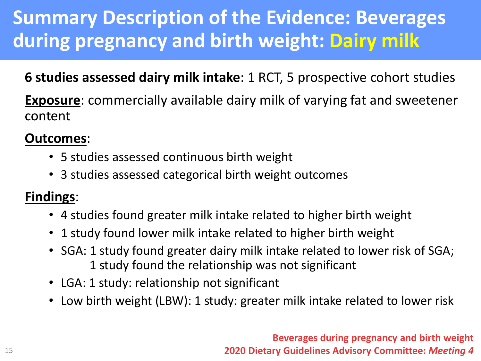## **Summary Description of the Evidence: Beverages during pregnancy and birth weight: Dairy milk**

#### **6 studies assessed dairy milk intake**: 1 RCT, 5 prospective cohort studies

**Exposure**: commercially available dairy milk of varying fat and sweetener content

#### **Outcomes**:

- 5 studies assessed continuous birth weight
- 3 studies assessed categorical birth weight outcomes

#### **Findings**:

- 4 studies found greater milk intake related to higher birth weight
- 1 study found lower milk intake related to higher birth weight
- SGA: 1 study found greater dairy milk intake related to lower risk of SGA; 1 study found the relationship was not significant
- LGA: 1 study: relationship not significant
- Low birth weight (LBW): 1 study: greater milk intake related to lower risk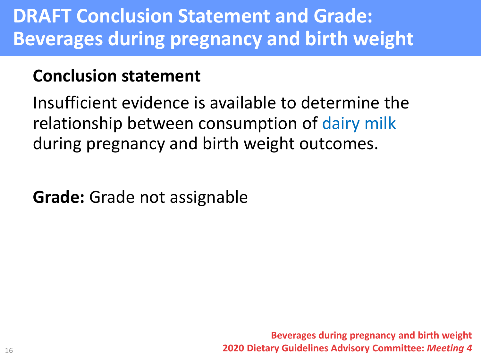### **DRAFT Conclusion Statement and Grade: Beverages during pregnancy and birth weight**

### **Conclusion statement**

Insufficient evidence is available to determine the relationship between consumption of dairy milk during pregnancy and birth weight outcomes.

**Grade:** Grade not assignable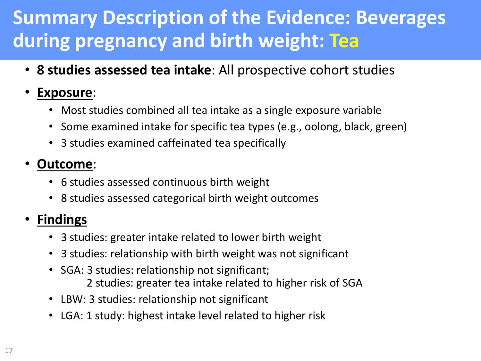### **Summary Description of the Evidence: Beverages during pregnancy and birth weight: Tea**

• **8 studies assessed tea intake**: All prospective cohort studies

#### • **Exposure**:

- Most studies combined all tea intake as a single exposure variable
- Some examined intake for specific tea types (e.g., oolong, black, green)
- 3 studies examined caffeinated tea specifically

#### • **Outcome**:

- 6 studies assessed continuous birth weight
- 8 studies assessed categorical birth weight outcomes

#### • **Findings**

- 3 studies: greater intake related to lower birth weight
- 3 studies: relationship with birth weight was not significant
- SGA: 3 studies: relationship not significant; 2 studies: greater tea intake related to higher risk of SGA
- LBW: 3 studies: relationship not significant
- LGA: 1 study: highest intake level related to higher risk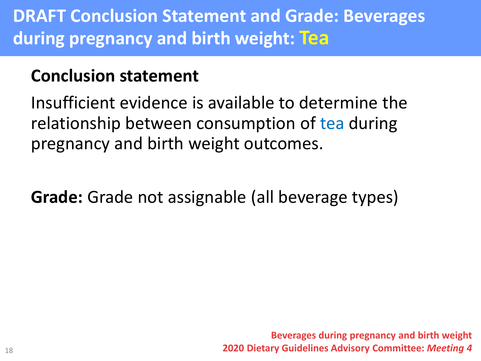### **DRAFT Conclusion Statement and Grade: Beverages during pregnancy and birth weight: Tea**

### **Conclusion statement**

Insufficient evidence is available to determine the relationship between consumption of tea during pregnancy and birth weight outcomes.

**Grade:** Grade not assignable (all beverage types)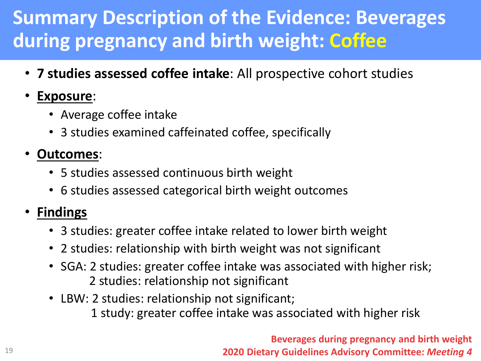## **Summary Description of the Evidence: Beverages during pregnancy and birth weight: Coffee**

• **7 studies assessed coffee intake**: All prospective cohort studies

#### • **Exposure**:

- Average coffee intake
- 3 studies examined caffeinated coffee, specifically

#### • **Outcomes**:

- 5 studies assessed continuous birth weight
- 6 studies assessed categorical birth weight outcomes

#### • **Findings**

- 3 studies: greater coffee intake related to lower birth weight
- 2 studies: relationship with birth weight was not significant
- SGA: 2 studies: greater coffee intake was associated with higher risk; 2 studies: relationship not significant
- LBW: 2 studies: relationship not significant;

1 study: greater coffee intake was associated with higher risk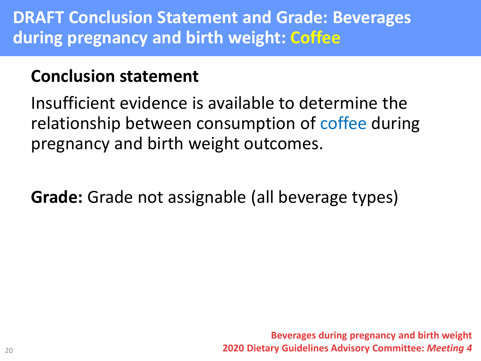### **Conclusion statement**

Insufficient evidence is available to determine the relationship between consumption of coffee during pregnancy and birth weight outcomes.

**Grade:** Grade not assignable (all beverage types)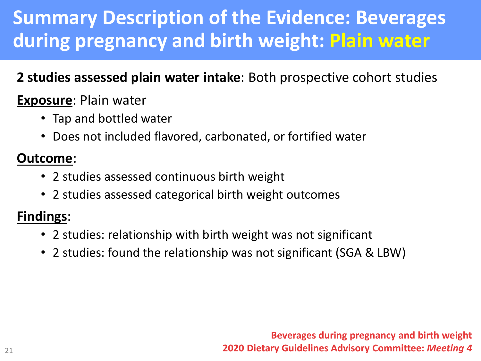### **Summary Description of the Evidence: Beverages during pregnancy and birth weight: Plain water**

#### **2 studies assessed plain water intake**: Both prospective cohort studies

#### **Exposure**: Plain water

- Tap and bottled water
- Does not included flavored, carbonated, or fortified water

#### **Outcome**:

- 2 studies assessed continuous birth weight
- 2 studies assessed categorical birth weight outcomes

#### **Findings**:

- 2 studies: relationship with birth weight was not significant
- 2 studies: found the relationship was not significant (SGA & LBW)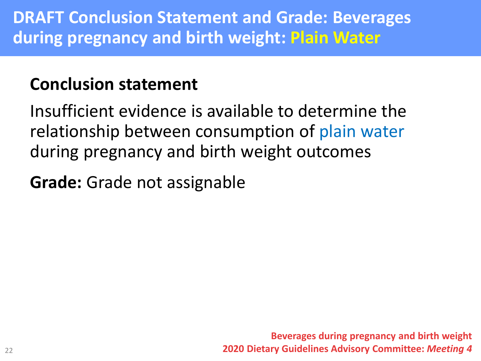### **Conclusion statement**

Insufficient evidence is available to determine the relationship between consumption of plain water during pregnancy and birth weight outcomes

**Grade:** Grade not assignable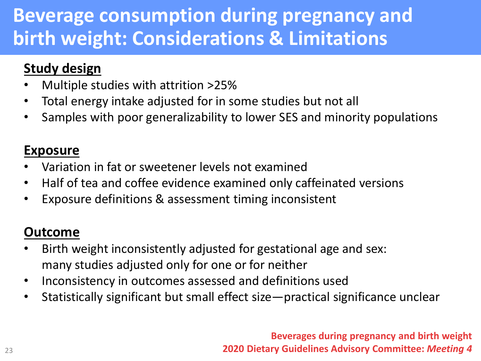### **Beverage consumption during pregnancy and birth weight: Considerations & Limitations**

#### **Study design**

- Multiple studies with attrition >25%
- Total energy intake adjusted for in some studies but not all
- Samples with poor generalizability to lower SES and minority populations

#### **Exposure**

- Variation in fat or sweetener levels not examined
- Half of tea and coffee evidence examined only caffeinated versions
- Exposure definitions & assessment timing inconsistent

#### **Outcome**

- Birth weight inconsistently adjusted for gestational age and sex: many studies adjusted only for one or for neither
- Inconsistency in outcomes assessed and definitions used
- Statistically significant but small effect size—practical significance unclear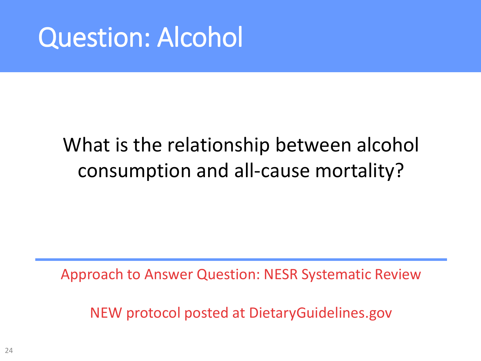# Question: Alcohol

## What is the relationship between alcohol consumption and all-cause mortality?

Approach to Answer Question: NESR Systematic Review

NEW protocol posted at DietaryGuidelines.gov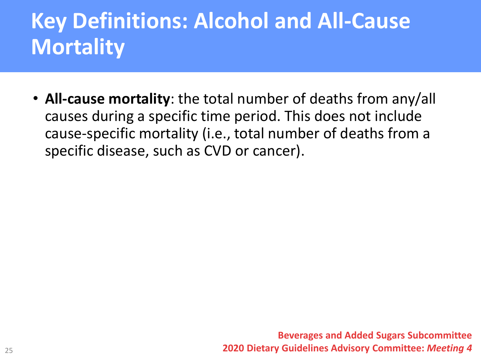# **Key Definitions: Alcohol and All-Cause Mortality**

• **All-cause mortality**: the total number of deaths from any/all causes during a specific time period. This does not include cause-specific mortality (i.e., total number of deaths from a specific disease, such as CVD or cancer).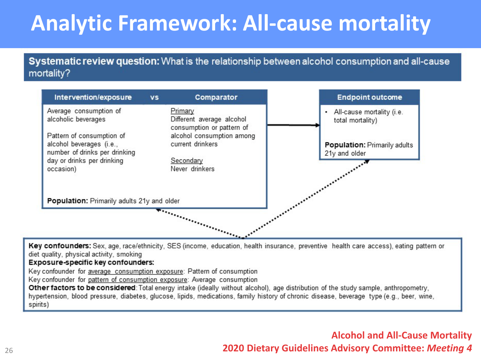# **Analytic Framework: All-cause mortality**

Systematic review question: What is the relationship between alcohol consumption and all-cause mortality?



Key confounders: Sex, age, race/ethnicity, SES (income, education, health insurance, preventive health care access), eating pattern or diet quality, physical activity, smoking

#### Exposure-specific key confounders:

Key confounder for average consumption exposure: Pattern of consumption

Key confounder for pattern of consumption exposure: Average consumption

Other factors to be considered: Total energy intake (ideally without alcohol), age distribution of the study sample, anthropometry, hypertension, blood pressure, diabetes, glucose, lipids, medications, family history of chronic disease, beverage type (e.g., beer, wine, spirits)

> **Alcohol and All-Cause Mortality 2020 Dietary Guidelines Advisory Committee:** *Meeting 4*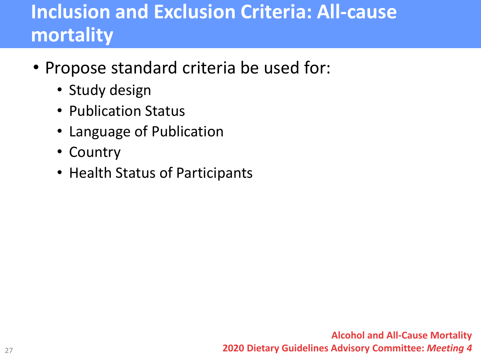## **Inclusion and Exclusion Criteria: All-cause mortality**

- Propose standard criteria be used for:
	- Study design
	- Publication Status
	- Language of Publication
	- Country
	- Health Status of Participants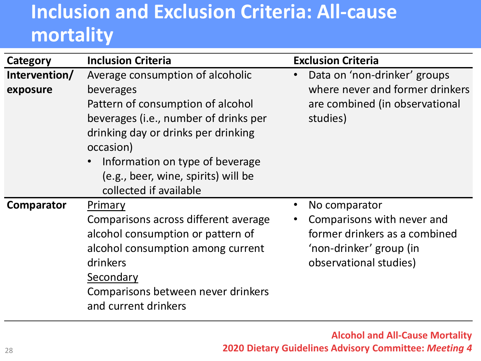## **Inclusion and Exclusion Criteria: All-cause mortality**

| Category                  | <b>Inclusion Criteria</b>                                                                                                                                                                                                                                                           | <b>Exclusion Criteria</b>                                                                                                                                   |
|---------------------------|-------------------------------------------------------------------------------------------------------------------------------------------------------------------------------------------------------------------------------------------------------------------------------------|-------------------------------------------------------------------------------------------------------------------------------------------------------------|
| Intervention/<br>exposure | Average consumption of alcoholic<br>beverages<br>Pattern of consumption of alcohol<br>beverages (i.e., number of drinks per<br>drinking day or drinks per drinking<br>occasion)<br>Information on type of beverage<br>(e.g., beer, wine, spirits) will be<br>collected if available | Data on 'non-drinker' groups<br>$\bullet$<br>where never and former drinkers<br>are combined (in observational<br>studies)                                  |
| Comparator                | Primary<br>Comparisons across different average<br>alcohol consumption or pattern of<br>alcohol consumption among current<br>drinkers<br>Secondary<br>Comparisons between never drinkers<br>and current drinkers                                                                    | No comparator<br>$\bullet$<br>Comparisons with never and<br>$\bullet$<br>former drinkers as a combined<br>'non-drinker' group (in<br>observational studies) |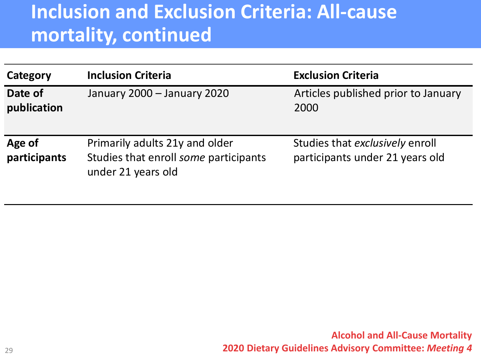### **Inclusion and Exclusion Criteria: All-cause mortality, continued**

| Category               | <b>Inclusion Criteria</b>                                                                     | <b>Exclusion Criteria</b>                                          |
|------------------------|-----------------------------------------------------------------------------------------------|--------------------------------------------------------------------|
| Date of<br>publication | January 2000 - January 2020                                                                   | Articles published prior to January<br>2000                        |
| Age of<br>participants | Primarily adults 21y and older<br>Studies that enroll some participants<br>under 21 years old | Studies that exclusively enroll<br>participants under 21 years old |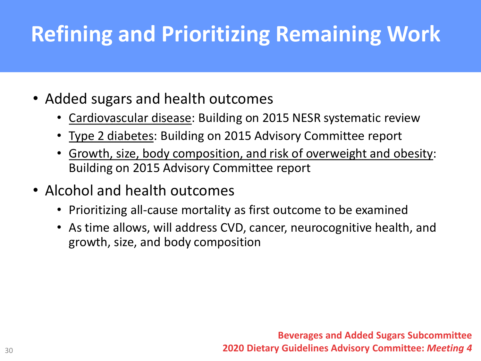# **Refining and Prioritizing Remaining Work**

- Added sugars and health outcomes
	- Cardiovascular disease: Building on 2015 NESR systematic review
	- Type 2 diabetes: Building on 2015 Advisory Committee report
	- Growth, size, body composition, and risk of overweight and obesity: Building on 2015 Advisory Committee report
- Alcohol and health outcomes
	- Prioritizing all-cause mortality as first outcome to be examined
	- As time allows, will address CVD, cancer, neurocognitive health, and growth, size, and body composition